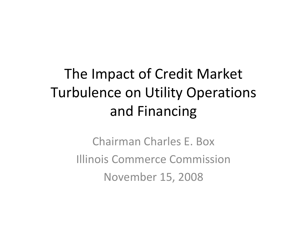## The Impact of Credit Market Turbulence on Utility Operations and Financing

Chairman Charles E. Box Illinois Commerce CommissionNovember 15, 2008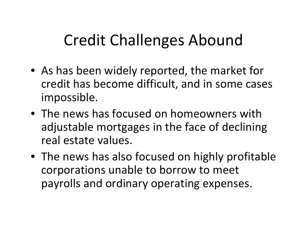## Credit Challenges Abound

- As has been widely reported, the market for credit has become difficult, and in some cases impossible.
- The news has focused on homeowners with adjustable mortgages in the face of declining real estate values.
- The news has also focused on highly profitable corporations unable to borrow to meet payrolls and ordinary operating expenses.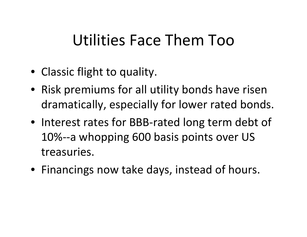#### Utilities Face Them Too

- Classic flight to quality.
- Risk premiums for all utility bonds have risen dramatically, especially for lower rated bonds.
- Interest rates for BBB‐rated long term debt of 10%‐‐<sup>a</sup> whopping 600 basis points over US treasuries.
- Financings now take days, instead of hours.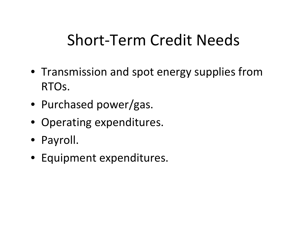## Short‐Term Credit Needs

- Transmission and spot energy supplies from RTOs.
- Purchased power/gas.
- Operating expenditures.
- Payroll.
- Equipment expenditures.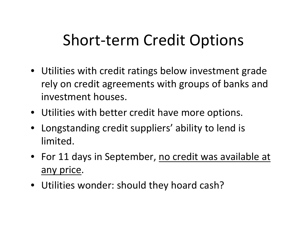#### Short‐term Credit Options

- Utilities with credit ratings below investment grade rely on credit agreements with groups of banks and investment houses.
- Utilities with better credit have more options.
- Longstanding credit suppliers' ability to lend is limited.
- **•** For 11 days in September, no credit was available at any price.
- Utilities wonder: should they hoard cash?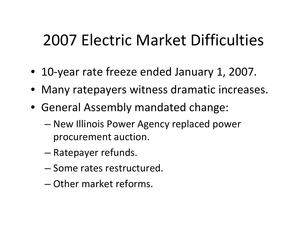#### 2007 Electric Market Difficulties

- 10‐year rate freeze ended January 1, 2007.
- Many ratepayers witness dramatic increases.
- General Assembly mandated change:
	- New Illinois Power Agency replaced power procurement auction.
	- Ratepayer refunds.
	- Some rates restructured.
	- Other market reforms.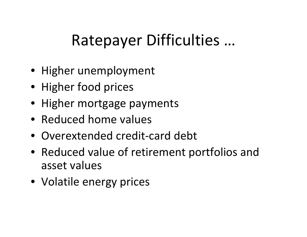# Ratepayer Difficulties …

- Higher unemployment
- Higher food prices
- Higher mortgage payments
- Reduced home values
- Overextended credit‐card debt
- Reduced value of retirement portfolios and asset values
- Volatile energy prices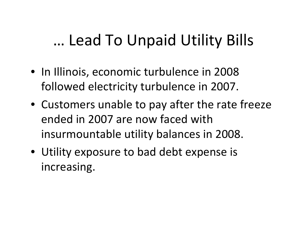## … Lead To Unpaid Utility Bills

- In Illinois, economic turbulence in 2008 followed electricity turbulence in 2007.
- Customers unable to pay after the rate freeze ended in 2007 are now faced with insurmountable utility balances in 2008.
- Utility exposure to bad debt expense is increasing.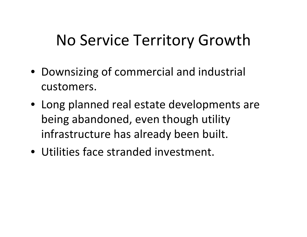## No Service Territory Growth

- Downsizing of commercial and industrial customers.
- Long planned real estate developments are being abandoned, even though utility infrastructure has already been built.
- Utilities face stranded investment.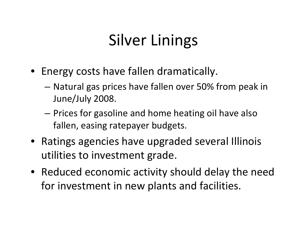## Silver Linings

- Energy costs have fallen dramatically.
	- Natural gas prices have fallen over 50% from peak in June/July 2008.
	- – Prices for gasoline and home heating oil have also fallen, easing ratepayer budgets.
- Ratings agencies have upgraded several Illinois utilities to investment grade.
- Reduced economic activity should delay the need for investment in new plants and facilities.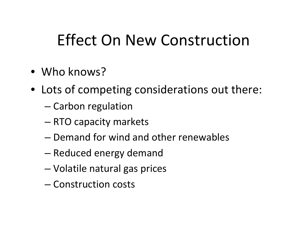## Effect On New Construction

- Who knows?
- Lots of competing considerations out there:
	- Carbon regulation
	- RTO capacity markets
	- Demand for wind and other renewables
	- –— Reduced energy demand
	- –Volatile natural gas prices
	- Construction costs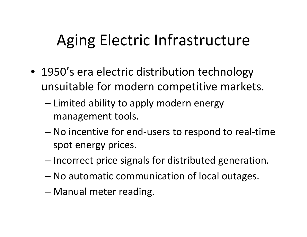## Aging Electric Infrastructure

- 1950's era electric distribution technology unsuitable for modern competitive markets.
	- $-$  Limited ability to apply modern energy management tools.
	- – No incentive for end‐users to respond to real‐time spot energy prices.
	- – $-$  Incorrect price signals for distributed generation.
	- No automatic communication of local outages.
	- –Manual meter reading.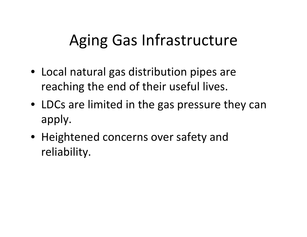## Aging Gas Infrastructure

- Local natural gas distribution pipes are reaching the end of their useful lives.
- LDCs are limited in the gas pressure they can apply.
- Heightened concerns over safety and reliability.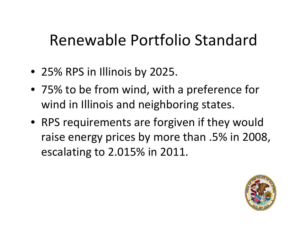#### Renewable Portfolio Standard

- 25% RPS in Illinois by 2025.
- 75% to be from wind, with <sup>a</sup> preference for wind in Illinois and neighboring states.
- RPS requirements are forgiven if they would raise energy prices by more than .5% in 2008, escalating to 2.015% in 2011.

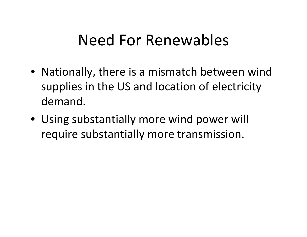#### Need For Renewables

- Nationally, there is <sup>a</sup> mismatch between wind supplies in the US and location of electricity demand.
- Using substantially more wind power will require substantially more transmission.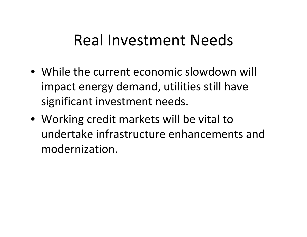#### Real Investment Needs

- While the current economic slowdown will impact energy demand, utilities still have significant investment needs.
- Working credit markets will be vital to undertake infrastructure enhancements andmodernization.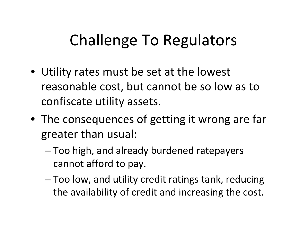## Challenge To Regulators

- Utility rates must be set at the lowest reasonable cost, but cannot be so low as to confiscate utility assets.
- The consequences of getting it wrong are far greater than usual:
	- – Too high, and already burdened ratepayers cannot afford to pay.
	- – Too low, and utility credit ratings tank, reducing the availability of credit and increasing the cost.